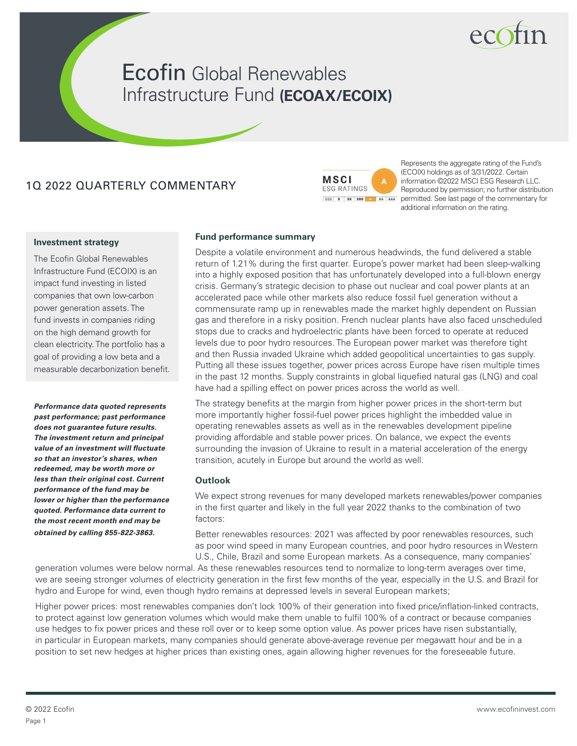# **Ecofin Global Renewables** Infrastructure Fund **(ECOAX/ECOIX)**

## 1Q 2022 QUARTERLY COMMENTARY



Represents the aggregate rating of the Fund's (ECOIX) holdings as of 3/31/2022. Certain information ©2022 MSCI ESG Research LLC. Reproduced by permission; no further distribution permitted. See last page of the commentary for additional information on the rating.

#### **Investment strategy**

The Ecofin Global Renewables Infrastructure Fund (ECOIX) is an impact fund investing in listed companies that own low-carbon power generation assets. The fund invests in companies riding on the high demand growth for clean electricity. The portfolio has a goal of providing a low beta and a measurable decarbonization benefit.

*Performance data quoted represents past performance; past performance does not guarantee future results. The investment return and principal value of an investment will fluctuate so that an investor's shares, when redeemed, may be worth more or less than their original cost. Current performance of the fund may be lower or higher than the performance quoted. Performance data current to the most recent month end may be obtained by calling 855-822-3863.*

#### **Fund performance summary**

Despite a volatile environment and numerous headwinds, the fund delivered a stable return of 1.21% during the first quarter. Europe's power market had been sleep-walking into a highly exposed position that has unfortunately developed into a full-blown energy crisis. Germany's strategic decision to phase out nuclear and coal power plants at an accelerated pace while other markets also reduce fossil fuel generation without a commensurate ramp up in renewables made the market highly dependent on Russian gas and therefore in a risky position. French nuclear plants have also faced unscheduled stops due to cracks and hydroelectric plants have been forced to operate at reduced levels due to poor hydro resources. The European power market was therefore tight and then Russia invaded Ukraine which added geopolitical uncertainties to gas supply. Putting all these issues together, power prices across Europe have risen multiple times in the past 12 months. Supply constraints in global liquefied natural gas (LNG) and coal have had a spilling effect on power prices across the world as well.

The strategy benefits at the margin from higher power prices in the short-term but more importantly higher fossil-fuel power prices highlight the imbedded value in operating renewables assets as well as in the renewables development pipeline providing affordable and stable power prices. On balance, we expect the events surrounding the invasion of Ukraine to result in a material acceleration of the energy transition, acutely in Europe but around the world as well.

#### **Outlook**

We expect strong revenues for many developed markets renewables/power companies in the first quarter and likely in the full year 2022 thanks to the combination of two factors:

Better renewables resources: 2021 was affected by poor renewables resources, such as poor wind speed in many European countries, and poor hydro resources in Western U.S., Chile, Brazil and some European markets. As a consequence, many companies'

generation volumes were below normal. As these renewables resources tend to normalize to long-term averages over time, we are seeing stronger volumes of electricity generation in the first few months of the year, especially in the U.S. and Brazil for hydro and Europe for wind, even though hydro remains at depressed levels in several European markets;

Higher power prices: most renewables companies don't lock 100% of their generation into fixed price/inflation-linked contracts, to protect against low generation volumes which would make them unable to fulfil 100% of a contract or because companies use hedges to fix power prices and these roll over or to keep some option value. As power prices have risen substantially, in particular in European markets, many companies should generate above-average revenue per megawatt hour and be in a position to set new hedges at higher prices than existing ones, again allowing higher revenues for the foreseeable future.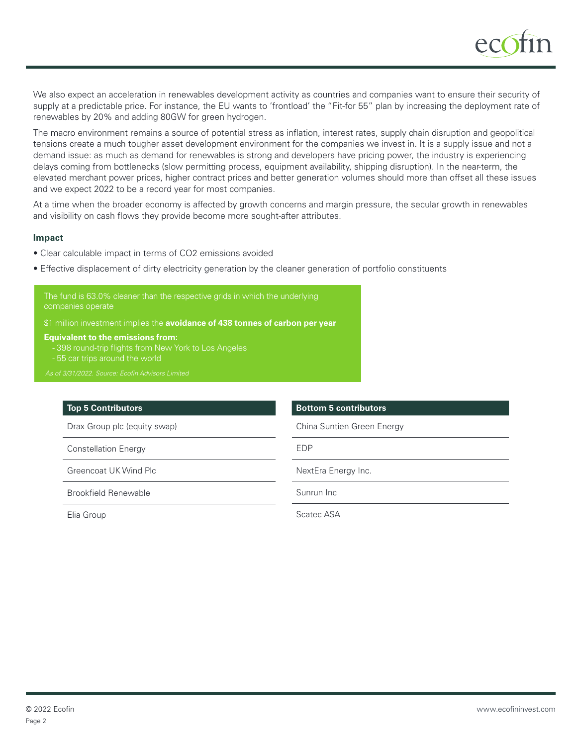

We also expect an acceleration in renewables development activity as countries and companies want to ensure their security of supply at a predictable price. For instance, the EU wants to 'frontload' the "Fit-for 55" plan by increasing the deployment rate of renewables by 20% and adding 80GW for green hydrogen.

The macro environment remains a source of potential stress as inflation, interest rates, supply chain disruption and geopolitical tensions create a much tougher asset development environment for the companies we invest in. It is a supply issue and not a demand issue: as much as demand for renewables is strong and developers have pricing power, the industry is experiencing delays coming from bottlenecks (slow permitting process, equipment availability, shipping disruption). In the near-term, the elevated merchant power prices, higher contract prices and better generation volumes should more than offset all these issues and we expect 2022 to be a record year for most companies.

At a time when the broader economy is affected by growth concerns and margin pressure, the secular growth in renewables and visibility on cash flows they provide become more sought-after attributes.

#### **Impact**

- Clear calculable impact in terms of CO2 emissions avoided
- Effective displacement of dirty electricity generation by the cleaner generation of portfolio constituents

\$1 million investment implies the **avoidance of 438 tonnes of carbon per year**

**Equivalent to the emissions from:**

- 398 round-trip flights from New York to Los Angeles
- 

#### **Top 5 Contributors**

Drax Group plc (equity swap)

Constellation Energy

Greencoat UK Wind Plc

Brookfield Renewable

Elia Group

#### **Bottom 5 contributors**

China Suntien Green Energy

EDP

NextEra Energy Inc.

Sunrun Inc

Scatec ASA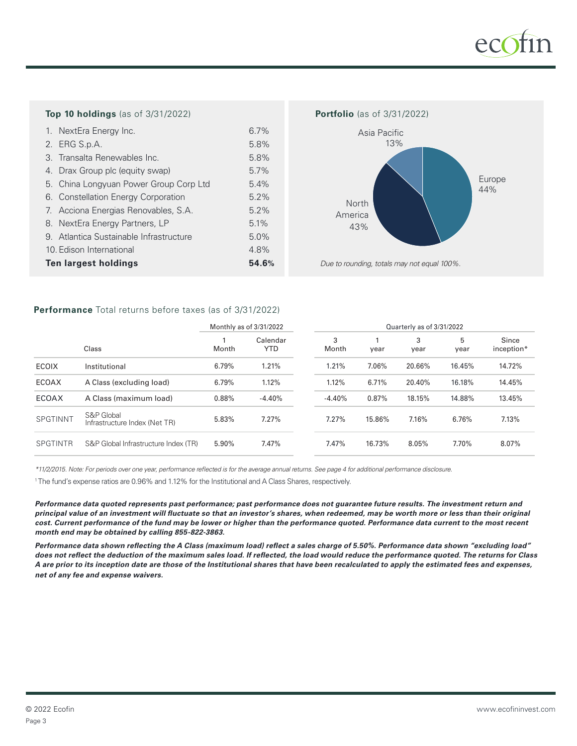

#### **Top 10 holdings** (as of 3/31/2022) **Portfolio** (as of 3/31/2022)

| 1. NextEra Energy Inc.                  | 6.7%  |
|-----------------------------------------|-------|
| 2. ERG S.p.A.                           | 5.8%  |
| 3. Transalta Renewables Inc.            | 5.8%  |
| 4. Drax Group plc (equity swap)         | 5.7%  |
| 5. China Longyuan Power Group Corp Ltd  | 5.4%  |
| 6. Constellation Energy Corporation     | 5.2%  |
| 7. Acciona Energias Renovables, S.A.    | 5.2%  |
| 8. NextEra Energy Partners, LP          | 5.1%  |
| 9. Atlantica Sustainable Infrastructure | 5.0%  |
| 10. Edison International                | 4.8%  |
| <b>Ten largest holdings</b>             | 54.6% |



*Due to rounding, totals may not equal 100%.*

### **Performance** Total returns before taxes (as of 3/31/2022)

|                 |                                             | Monthly as of 3/31/2022 |                        | Quarterly as of 3/31/2022 |        |           |           |                     |
|-----------------|---------------------------------------------|-------------------------|------------------------|---------------------------|--------|-----------|-----------|---------------------|
|                 | Class                                       | Month                   | Calendar<br><b>YTD</b> | 3<br>Month                | year   | 3<br>year | 5<br>year | Since<br>inception* |
| <b>ECOIX</b>    | Institutional                               | 6.79%                   | 1.21%                  | 1.21%                     | 7.06%  | 20.66%    | 16.45%    | 14.72%              |
| <b>ECOAX</b>    | A Class (excluding load)                    | 6.79%                   | 1.12%                  | 1.12%                     | 6.71%  | 20.40%    | 16.18%    | 14.45%              |
| <b>ECOAX</b>    | A Class (maximum load)                      | 0.88%                   | $-4.40%$               | $-4.40%$                  | 0.87%  | 18.15%    | 14.88%    | 13.45%              |
| <b>SPGTINNT</b> | S&P Global<br>Infrastructure Index (Net TR) | 5.83%                   | 7.27%                  | 7.27%                     | 15.86% | 7.16%     | 6.76%     | 7.13%               |
| <b>SPGTINTR</b> | S&P Global Infrastructure Index (TR)        | 5.90%                   | 7.47%                  | 7.47%                     | 16.73% | 8.05%     | 7.70%     | 8.07%               |

*\*11/2/2015. Note: For periods over one year, performance reflected is for the average annual returns. See page 4 for additional performance disclosure.*

<sup>1</sup> The fund's expense ratios are 0.96% and 1.12% for the Institutional and A Class Shares, respectively.

*Performance data quoted represents past performance; past performance does not guarantee future results. The investment return and principal value of an investment will fluctuate so that an investor's shares, when redeemed, may be worth more or less than their original cost. Current performance of the fund may be lower or higher than the performance quoted. Performance data current to the most recent month end may be obtained by calling 855-822-3863.*

*Performance data shown reflecting the A Class (maximum load) reflect a sales charge of 5.50%. Performance data shown "excluding load" does not reflect the deduction of the maximum sales load. If reflected, the load would reduce the performance quoted. The returns for Class A are prior to its inception date are those of the Institutional shares that have been recalculated to apply the estimated fees and expenses, net of any fee and expense waivers.*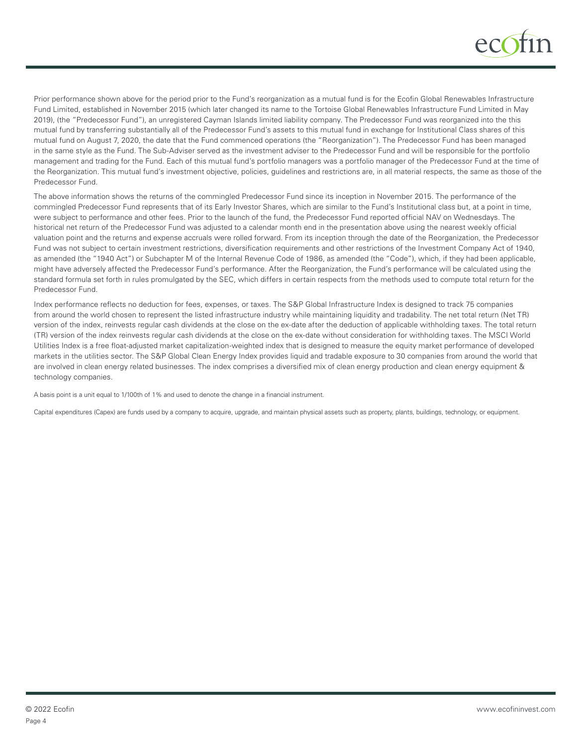

Prior performance shown above for the period prior to the Fund's reorganization as a mutual fund is for the Ecofin Global Renewables Infrastructure Fund Limited, established in November 2015 (which later changed its name to the Tortoise Global Renewables Infrastructure Fund Limited in May 2019), (the "Predecessor Fund"), an unregistered Cayman Islands limited liability company. The Predecessor Fund was reorganized into the this mutual fund by transferring substantially all of the Predecessor Fund's assets to this mutual fund in exchange for Institutional Class shares of this mutual fund on August 7, 2020, the date that the Fund commenced operations (the "Reorganization"). The Predecessor Fund has been managed in the same style as the Fund. The Sub-Adviser served as the investment adviser to the Predecessor Fund and will be responsible for the portfolio management and trading for the Fund. Each of this mutual fund's portfolio managers was a portfolio manager of the Predecessor Fund at the time of the Reorganization. This mutual fund's investment objective, policies, guidelines and restrictions are, in all material respects, the same as those of the Predecessor Fund.

The above information shows the returns of the commingled Predecessor Fund since its inception in November 2015. The performance of the commingled Predecessor Fund represents that of its Early Investor Shares, which are similar to the Fund's Institutional class but, at a point in time, were subject to performance and other fees. Prior to the launch of the fund, the Predecessor Fund reported official NAV on Wednesdays. The historical net return of the Predecessor Fund was adjusted to a calendar month end in the presentation above using the nearest weekly official valuation point and the returns and expense accruals were rolled forward. From its inception through the date of the Reorganization, the Predecessor Fund was not subject to certain investment restrictions, diversification requirements and other restrictions of the Investment Company Act of 1940, as amended (the "1940 Act") or Subchapter M of the Internal Revenue Code of 1986, as amended (the "Code"), which, if they had been applicable, might have adversely affected the Predecessor Fund's performance. After the Reorganization, the Fund's performance will be calculated using the standard formula set forth in rules promulgated by the SEC, which differs in certain respects from the methods used to compute total return for the Predecessor Fund.

Index performance reflects no deduction for fees, expenses, or taxes. The S&P Global Infrastructure Index is designed to track 75 companies from around the world chosen to represent the listed infrastructure industry while maintaining liquidity and tradability. The net total return (Net TR) version of the index, reinvests regular cash dividends at the close on the ex-date after the deduction of applicable withholding taxes. The total return (TR) version of the index reinvests regular cash dividends at the close on the ex-date without consideration for withholding taxes. The MSCI World Utilities Index is a free float-adjusted market capitalization-weighted index that is designed to measure the equity market performance of developed markets in the utilities sector. The S&P Global Clean Energy Index provides liquid and tradable exposure to 30 companies from around the world that are involved in clean energy related businesses. The index comprises a diversified mix of clean energy production and clean energy equipment & technology companies.

A basis point is a unit equal to 1/100th of 1% and used to denote the change in a financial instrument.

Capital expenditures (Capex) are funds used by a company to acquire, upgrade, and maintain physical assets such as property, plants, buildings, technology, or equipment.